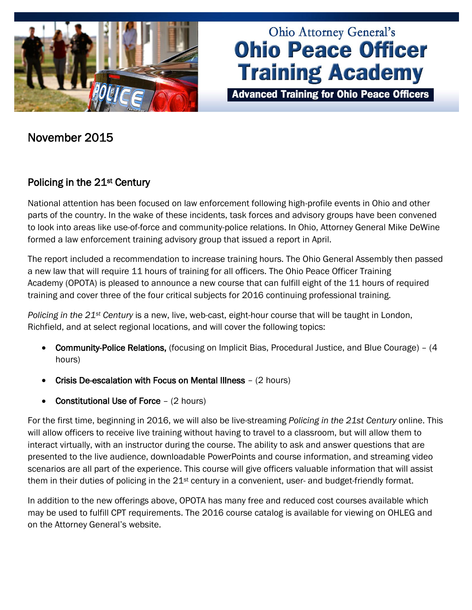

# **Ohio Attorney General's Ohio Peace Officer Training Academy**

**Advanced Training for Ohio Peace Officers** 

# November 2015

# Policing in the 21<sup>st</sup> Century

National attention has been focused on law enforcement following high-profile events in Ohio and other parts of the country. In the wake of these incidents, task forces and advisory groups have been convened to look into areas like use-of-force and community-police relations. In Ohio, Attorney General Mike DeWine formed a law enforcement training advisory group that issued a report in April.

The report included a recommendation to increase training hours. The Ohio General Assembly then passed a new law that will require 11 hours of training for all officers. The Ohio Peace Officer Training Academy (OPOTA) is pleased to announce a new course that can fulfill eight of the 11 hours of required training and cover three of the four critical subjects for 2016 continuing professional training.

*Policing in the 21st Century* is a new, live, web-cast, eight-hour course that will be taught in London, Richfield, and at select regional locations, and will cover the following topics:

- Community-Police Relations, (focusing on Implicit Bias, Procedural Justice, and Blue Courage) (4 hours)
- Crisis De-escalation with Focus on Mental Illness (2 hours)
- Constitutional Use of Force (2 hours)

For the first time, beginning in 2016, we will also be live-streaming *Policing in the 21st Century* online. This will allow officers to receive live training without having to travel to a classroom, but will allow them to interact virtually, with an instructor during the course. The ability to ask and answer questions that are presented to the live audience, downloadable PowerPoints and course information, and streaming video scenarios are all part of the experience. This course will give officers valuable information that will assist them in their duties of policing in the 21<sup>st</sup> century in a convenient, user- and budget-friendly format.

In addition to the new offerings above, OPOTA has many free and reduced cost courses available which may be used to fulfill CPT requirements. The 2016 course catalog is available for viewing on OHLEG and on the Attorney General's website.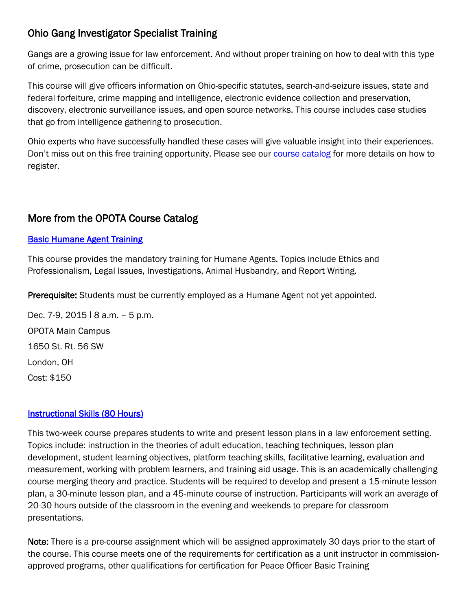# Ohio Gang Investigator Specialist Training

Gangs are a growing issue for law enforcement. And without proper training on how to deal with this type of crime, prosecution can be difficult.

This course will give officers information on Ohio-specific statutes, search-and-seizure issues, state and federal forfeiture, crime mapping and intelligence, electronic evidence collection and preservation, discovery, electronic surveillance issues, and open source networks. This course includes case studies that go from intelligence gathering to prosecution.

Ohio experts who have successfully handled these cases will give valuable insight into their experiences. Don't miss out on this free training opportunity. Please see our [course catalog](http://www.ohioattorneygeneral.gov/Law-Enforcement/Ohio-Peace-Officer-Training-Academy/Course-Catalog/Course-Categories/Investigations-Courses#OPOTA862) for more details on how to register.

## More from the OPOTA Course Catalog

## **Basic Humane Agent Training**

This course provides the mandatory training for Humane Agents. Topics include Ethics and Professionalism, Legal Issues, Investigations, Animal Husbandry, and Report Writing.

Prerequisite: Students must be currently employed as a Humane Agent not yet appointed.

Dec. 7-9, 2015 | 8 a.m. - 5 p.m. OPOTA Main Campus 1650 St. Rt. 56 SW London, OH Cost: \$150

## **Instructional Skills (80 Hours)**

This two-week course prepares students to write and present lesson plans in a law enforcement setting. Topics include: instruction in the theories of adult education, teaching techniques, lesson plan development, student learning objectives, platform teaching skills, facilitative learning, evaluation and measurement, working with problem learners, and training aid usage. This is an academically challenging course merging theory and practice. Students will be required to develop and present a 15-minute lesson plan, a 30-minute lesson plan, and a 45-minute course of instruction. Participants will work an average of 20-30 hours outside of the classroom in the evening and weekends to prepare for classroom presentations.

Note: There is a pre-course assignment which will be assigned approximately 30 days prior to the start of the course. This course meets one of the requirements for certification as a unit instructor in commissionapproved programs, other qualifications for certification for Peace Officer Basic Training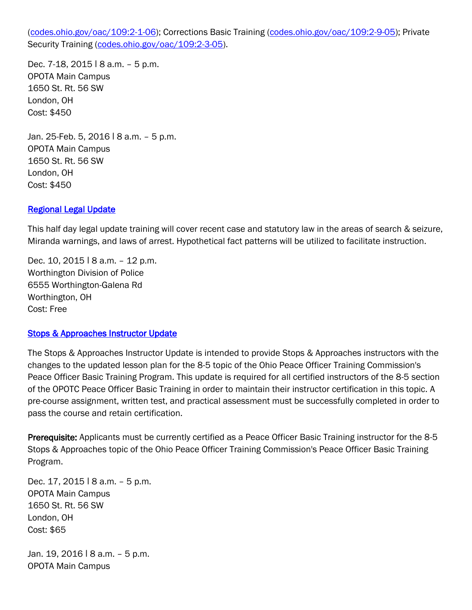[\(codes.ohio.gov/oac/109:2-1-06\)](http://codes.ohio.gov/oac/109:2-1-06); Corrections Basic Training [\(codes.ohio.gov/oac/109:2-9-05\)](http://codes.ohio.gov/oac/109:2-9-05); Private Security Training [\(codes.ohio.gov/oac/109:2-3-05\)](http://codes.ohio.gov/oac/109:2-3-05).

Dec. 7-18, 2015 | 8 a.m. - 5 p.m. OPOTA Main Campus 1650 St. Rt. 56 SW London, OH Cost: \$450

Jan. 25-Feb. 5, 2016 | 8 a.m. - 5 p.m. OPOTA Main Campus 1650 St. Rt. 56 SW London, OH Cost: \$450

#### [Regional Legal Update](http://www.ohioattorneygeneral.gov/Law-Enforcement/Ohio-Peace-Officer-Training-Academy/Course-Catalog/Course-Categories/Legal-Courses#OPOTA594)

This half day legal update training will cover recent case and statutory law in the areas of search & seizure, Miranda warnings, and laws of arrest. Hypothetical fact patterns will be utilized to facilitate instruction.

Dec. 10, 2015 | 8 a.m. - 12 p.m. Worthington Division of Police 6555 Worthington-Galena Rd Worthington, OH Cost: Free

#### [Stops & Approaches Instructor Update](http://www.ohioattorneygeneral.gov/Law-Enforcement/Ohio-Peace-Officer-Training-Academy/Course-Catalog/Course-Categories/Instructor-Training-Courses#OPOTA786)

The Stops & Approaches Instructor Update is intended to provide Stops & Approaches instructors with the changes to the updated lesson plan for the 8-5 topic of the Ohio Peace Officer Training Commission's Peace Officer Basic Training Program. This update is required for all certified instructors of the 8-5 section of the OPOTC Peace Officer Basic Training in order to maintain their instructor certification in this topic. A pre-course assignment, written test, and practical assessment must be successfully completed in order to pass the course and retain certification.

Prerequisite: Applicants must be currently certified as a Peace Officer Basic Training instructor for the 8-5 Stops & Approaches topic of the Ohio Peace Officer Training Commission's Peace Officer Basic Training Program.

Dec. 17, 2015 | 8 a.m. - 5 p.m. OPOTA Main Campus 1650 St. Rt. 56 SW London, OH Cost: \$65

Jan. 19, 2016 | 8 a.m. - 5 p.m. OPOTA Main Campus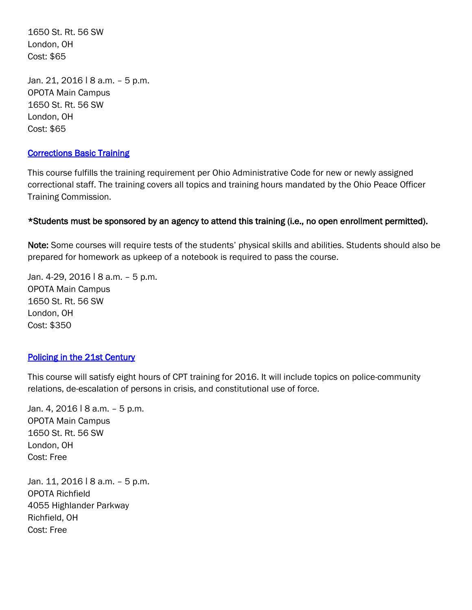1650 St. Rt. 56 SW London, OH Cost: \$65

Jan. 21, 2016 | 8 a.m. - 5 p.m. OPOTA Main Campus 1650 St. Rt. 56 SW London, OH Cost: \$65

#### [Corrections Basic Training](http://www.ohioattorneygeneral.gov/Law-Enforcement/Ohio-Peace-Officer-Training-Academy/Course-Catalog/Course-Categories/Corrections-Courses#OPOTA24)

This course fulfills the training requirement per Ohio Administrative Code for new or newly assigned correctional staff. The training covers all topics and training hours mandated by the Ohio Peace Officer Training Commission.

#### \*Students must be sponsored by an agency to attend this training (i.e., no open enrollment permitted).

Note: Some courses will require tests of the students' physical skills and abilities. Students should also be prepared for homework as upkeep of a notebook is required to pass the course.

Jan. 4-29, 2016 | 8 a.m. - 5 p.m. OPOTA Main Campus 1650 St. Rt. 56 SW London, OH Cost: \$350

#### [Policing in the 21st Century](http://www.ohioattorneygeneral.gov/Law-Enforcement/Ohio-Peace-Officer-Training-Academy/Course-Catalog/Course-Categories/Basic-Training-Courses-(1))

This course will satisfy eight hours of CPT training for 2016. It will include topics on police-community relations, de-escalation of persons in crisis, and constitutional use of force.

Jan. 4, 2016 | 8 a.m. - 5 p.m. OPOTA Main Campus 1650 St. Rt. 56 SW London, OH Cost: Free

Jan. 11, 2016 | 8 a.m. - 5 p.m. OPOTA Richfield 4055 Highlander Parkway Richfield, OH Cost: Free